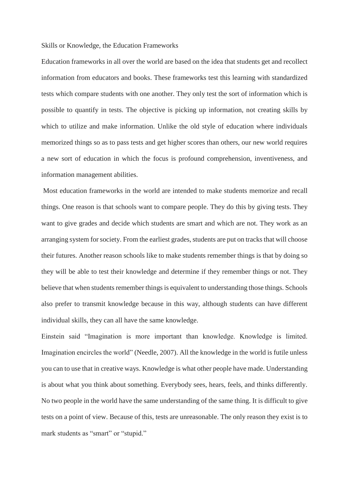## Skills or Knowledge, the Education Frameworks

Education frameworks in all over the world are based on the idea that students get and recollect information from educators and books. These frameworks test this learning with standardized tests which compare students with one another. They only test the sort of information which is possible to quantify in tests. The objective is picking up information, not creating skills by which to utilize and make information. Unlike the old style of education where individuals memorized things so as to pass tests and get higher scores than others, our new world requires a new sort of education in which the focus is profound comprehension, inventiveness, and information management abilities.

Most education frameworks in the world are intended to make students memorize and recall things. One reason is that schools want to compare people. They do this by giving tests. They want to give grades and decide which students are smart and which are not. They work as an arranging system for society. From the earliest grades, students are put on tracks that will choose their futures. Another reason schools like to make students remember things is that by doing so they will be able to test their knowledge and determine if they remember things or not. They believe that when students remember things is equivalent to understanding those things. Schools also prefer to transmit knowledge because in this way, although students can have different individual skills, they can all have the same knowledge.

Einstein said "Imagination is more important than knowledge. Knowledge is limited. Imagination encircles the world" (Needle, 2007). All the knowledge in the world is futile unless you can to use that in creative ways. Knowledge is what other people have made. Understanding is about what you think about something. Everybody sees, hears, feels, and thinks differently. No two people in the world have the same understanding of the same thing. It is difficult to give tests on a point of view. Because of this, tests are unreasonable. The only reason they exist is to mark students as "smart" or "stupid."